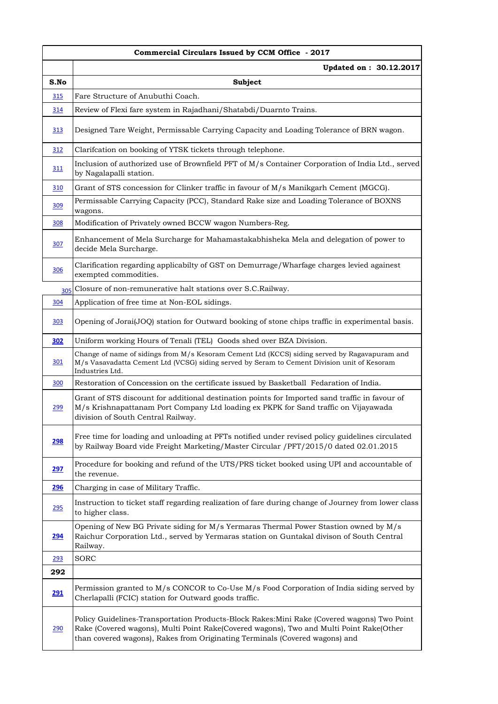|            | Commercial Circulars Issued by CCM Office - 2017                                                                                                                                                                                                                      |
|------------|-----------------------------------------------------------------------------------------------------------------------------------------------------------------------------------------------------------------------------------------------------------------------|
|            | Updated on: 30.12.2017                                                                                                                                                                                                                                                |
| S.No       | Subject                                                                                                                                                                                                                                                               |
| 315        | Fare Structure of Anubuthi Coach.                                                                                                                                                                                                                                     |
| <u>314</u> | Review of Flexi fare system in Rajadhani/Shatabdi/Duarnto Trains.                                                                                                                                                                                                     |
| 313        | Designed Tare Weight, Permissable Carrying Capacity and Loading Tolerance of BRN wagon.                                                                                                                                                                               |
| 312        | Clarifcation on booking of YTSK tickets through telephone.                                                                                                                                                                                                            |
| 311        | Inclusion of authorized use of Brownfield PFT of M/s Container Corporation of India Ltd., served<br>by Nagalapalli station.                                                                                                                                           |
| 310        | Grant of STS concession for Clinker traffic in favour of M/s Manikgarh Cement (MGCG).                                                                                                                                                                                 |
| <u>309</u> | Permissable Carrying Capacity (PCC), Standard Rake size and Loading Tolerance of BOXNS<br>wagons.                                                                                                                                                                     |
| 308        | Modification of Privately owned BCCW wagon Numbers-Reg.                                                                                                                                                                                                               |
| <u>307</u> | Enhancement of Mela Surcharge for Mahamastakabhisheka Mela and delegation of power to<br>decide Mela Surcharge.                                                                                                                                                       |
| 306        | Clarification regarding applicabilty of GST on Demurrage/Wharfage charges levied againest<br>exempted commodities.                                                                                                                                                    |
| 305        | Closure of non-remunerative halt stations over S.C.Railway.                                                                                                                                                                                                           |
| <u>304</u> | Application of free time at Non-EOL sidings.                                                                                                                                                                                                                          |
| 303        | Opening of Jorai(JOQ) station for Outward booking of stone chips traffic in experimental basis.                                                                                                                                                                       |
| 302        | Uniform working Hours of Tenali (TEL) Goods shed over BZA Division.                                                                                                                                                                                                   |
| 301        | Change of name of sidings from M/s Kesoram Cement Ltd (KCCS) siding served by Ragavapuram and<br>M/s Vasavadatta Cement Ltd (VCSG) siding served by Seram to Cement Division unit of Kesoram<br>Industries Ltd.                                                       |
| 300        | Restoration of Concession on the certificate issued by Basketball Fedaration of India.                                                                                                                                                                                |
| 299        | Grant of STS discount for additional destination points for Imported sand traffic in favour of<br>M/s Krishnapattanam Port Company Ltd loading ex PKPK for Sand traffic on Vijayawada<br>division of South Central Railway.                                           |
| <b>298</b> | Free time for loading and unloading at PFTs notified under revised policy guidelines circulated<br>by Railway Board vide Freight Marketing/Master Circular / PFT/2015/0 dated 02.01.2015                                                                              |
| 297        | Procedure for booking and refund of the UTS/PRS ticket booked using UPI and accountable of<br>the revenue.                                                                                                                                                            |
| 296        | Charging in case of Military Traffic.                                                                                                                                                                                                                                 |
| 295        | Instruction to ticket staff regarding realization of fare during change of Journey from lower class<br>to higher class.                                                                                                                                               |
| 294        | Opening of New BG Private siding for M/s Yermaras Thermal Power Stastion owned by M/s<br>Raichur Corporation Ltd., served by Yermaras station on Guntakal divison of South Central<br>Railway.                                                                        |
| 293        | SORC                                                                                                                                                                                                                                                                  |
| 292        |                                                                                                                                                                                                                                                                       |
| 291        | Permission granted to $M/s$ CONCOR to Co-Use $M/s$ Food Corporation of India siding served by<br>Cherlapalli (FCIC) station for Outward goods traffic.                                                                                                                |
| 290        | Policy Guidelines-Transportation Products-Block Rakes: Mini Rake (Covered wagons) Two Point<br>Rake (Covered wagons), Multi Point Rake(Covered wagons), Two and Multi Point Rake(Other<br>than covered wagons), Rakes from Originating Terminals (Covered wagons) and |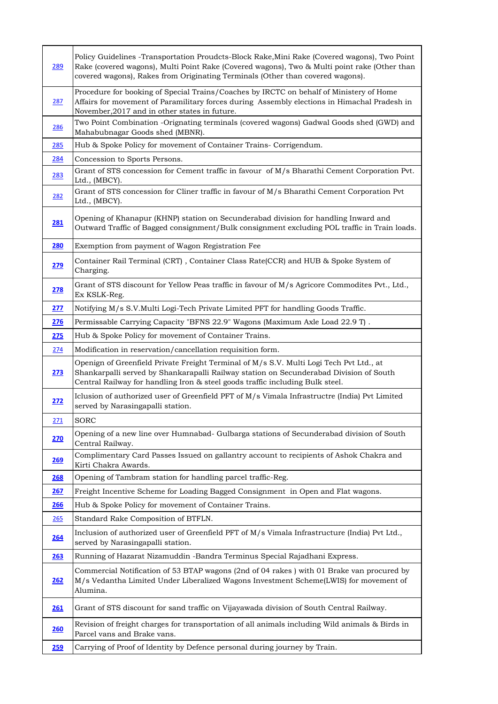| 289        | Policy Guidelines -Transportation Proudcts-Block Rake, Mini Rake (Covered wagons), Two Point<br>Rake (covered wagons), Multi Point Rake (Covered wagons), Two & Multi point rake (Other than<br>covered wagons), Rakes from Originating Terminals (Other than covered wagons). |
|------------|--------------------------------------------------------------------------------------------------------------------------------------------------------------------------------------------------------------------------------------------------------------------------------|
| 287        | Procedure for booking of Special Trains/Coaches by IRCTC on behalf of Ministery of Home<br>Affairs for movement of Paramilitary forces during Assembly elections in Himachal Pradesh in<br>November, 2017 and in other states in future.                                       |
| <u>286</u> | Two Point Combination -Orignating terminals (covered wagons) Gadwal Goods shed (GWD) and<br>Mahabubnagar Goods shed (MBNR).                                                                                                                                                    |
| 285        | Hub & Spoke Policy for movement of Container Trains- Corrigendum.                                                                                                                                                                                                              |
| 284        | Concession to Sports Persons.                                                                                                                                                                                                                                                  |
| 283        | Grant of STS concession for Cement traffic in favour of M/s Bharathi Cement Corporation Pvt.<br>Ltd., (MBCY).                                                                                                                                                                  |
| 282        | Grant of STS concession for Cliner traffic in favour of M/s Bharathi Cement Corporation Pvt<br>Ltd., (MBCY).                                                                                                                                                                   |
| 281        | Opening of Khanapur (KHNP) station on Secunderabad division for handling Inward and<br>Outward Traffic of Bagged consignment/Bulk consignment excluding POL traffic in Train loads.                                                                                            |
| 280        | Exemption from payment of Wagon Registration Fee                                                                                                                                                                                                                               |
| 279        | Container Rail Terminal (CRT), Container Class Rate(CCR) and HUB & Spoke System of<br>Charging.                                                                                                                                                                                |
| 278        | Grant of STS discount for Yellow Peas traffic in favour of M/s Agricore Commodites Pvt., Ltd.,<br>Ex KSLK-Reg.                                                                                                                                                                 |
| 277        | Notifying M/s S.V.Multi Logi-Tech Private Limited PFT for handling Goods Traffic.                                                                                                                                                                                              |
| <b>276</b> | Permissable Carrying Capacity "BFNS 22.9" Wagons (Maximum Axle Load 22.9 T).                                                                                                                                                                                                   |
| 275        | Hub & Spoke Policy for movement of Container Trains.                                                                                                                                                                                                                           |
| 274        | Modification in reservation/cancellation requisition form.                                                                                                                                                                                                                     |
| 273        | Openign of Greenfield Private Freight Terminal of M/s S.V. Multi Logi Tech Pvt Ltd., at<br>Shankarpalli served by Shankarapalli Railway station on Secunderabad Division of South<br>Central Railway for handling Iron & steel goods traffic including Bulk steel.             |
| 272        | Iclusion of authorized user of Greenfield PFT of M/s Vimala Infrastructre (India) Pvt Limited<br>served by Narasingapalli station.                                                                                                                                             |
| 271        | SORC                                                                                                                                                                                                                                                                           |
| 270        | Opening of a new line over Humnabad- Gulbarga stations of Secunderabad division of South<br>Central Railway.                                                                                                                                                                   |
| <u>269</u> | Complimentary Card Passes Issued on gallantry account to recipients of Ashok Chakra and<br>Kirti Chakra Awards.                                                                                                                                                                |
| 268        | Opening of Tambram station for handling parcel traffic-Reg.                                                                                                                                                                                                                    |
| <u>267</u> | Freight Incentive Scheme for Loading Bagged Consignment in Open and Flat wagons.                                                                                                                                                                                               |
| 266        | Hub & Spoke Policy for movement of Container Trains.                                                                                                                                                                                                                           |
| 265        | Standard Rake Composition of BTFLN.                                                                                                                                                                                                                                            |
| 264        | Inclusion of authorized user of Greenfield PFT of M/s Vimala Infrastructure (India) Pvt Ltd.,<br>served by Narasingapalli station.                                                                                                                                             |
| <u>263</u> | Running of Hazarat Nizamuddin -Bandra Terminus Special Rajadhani Express.                                                                                                                                                                                                      |
| 262        | Commercial Notification of 53 BTAP wagons (2nd of 04 rakes) with 01 Brake van procured by<br>M/s Vedantha Limited Under Liberalized Wagons Investment Scheme(LWIS) for movement of<br>Alumina.                                                                                 |
| 261        | Grant of STS discount for sand traffic on Vijayawada division of South Central Railway.                                                                                                                                                                                        |
| 260        | Revision of freight charges for transportation of all animals including Wild animals & Birds in<br>Parcel vans and Brake vans.                                                                                                                                                 |
| <b>259</b> | Carrying of Proof of Identity by Defence personal during journey by Train.                                                                                                                                                                                                     |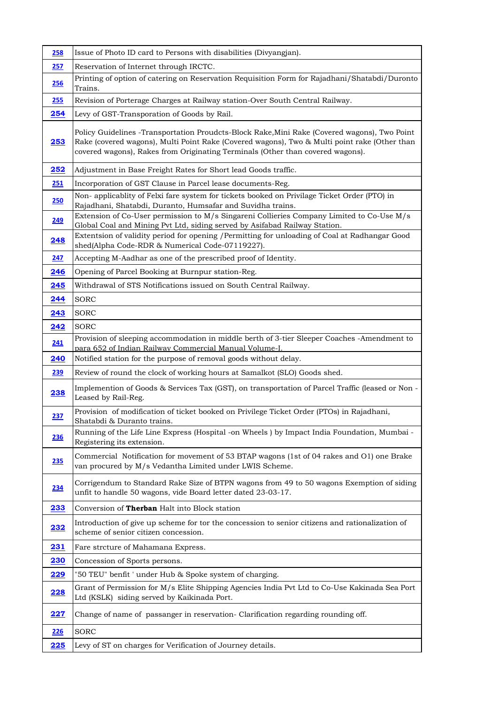| 258         | Issue of Photo ID card to Persons with disabilities (Divyangjan).                                                                                                                                                                                                              |
|-------------|--------------------------------------------------------------------------------------------------------------------------------------------------------------------------------------------------------------------------------------------------------------------------------|
| 257         | Reservation of Internet through IRCTC.                                                                                                                                                                                                                                         |
| 256         | Printing of option of catering on Reservation Requisition Form for Rajadhani/Shatabdi/Duronto<br>Trains.                                                                                                                                                                       |
| 255         | Revision of Porterage Charges at Railway station-Over South Central Railway.                                                                                                                                                                                                   |
| 254         | Levy of GST-Transporation of Goods by Rail.                                                                                                                                                                                                                                    |
| 253         | Policy Guidelines -Transportation Proudcts-Block Rake, Mini Rake (Covered wagons), Two Point<br>Rake (covered wagons), Multi Point Rake (Covered wagons), Two & Multi point rake (Other than<br>covered wagons), Rakes from Originating Terminals (Other than covered wagons). |
| 252         | Adjustment in Base Freight Rates for Short lead Goods traffic.                                                                                                                                                                                                                 |
| 251         | Incorporation of GST Clause in Parcel lease documents-Reg.                                                                                                                                                                                                                     |
| 250         | Non- applicablity of Felxi fare system for tickets booked on Privilage Ticket Order (PTO) in<br>Rajadhani, Shatabdi, Duranto, Humsafar and Suvidha trains.                                                                                                                     |
| 249         | Extension of Co-User permission to M/s Singareni Collieries Company Limited to Co-Use M/s<br>Global Coal and Mining Pvt Ltd, siding served by Asifabad Railway Station.                                                                                                        |
| 248         | Extentsion of validity period for opening / Permitting for unloading of Coal at Radhangar Good<br>shed(Alpha Code-RDR & Numerical Code-07119227).                                                                                                                              |
| <u>247</u>  | Accepting M-Aadhar as one of the prescribed proof of Identity.                                                                                                                                                                                                                 |
| 246         | Opening of Parcel Booking at Burnpur station-Reg.                                                                                                                                                                                                                              |
| 245         | Withdrawal of STS Notifications issued on South Central Railway.                                                                                                                                                                                                               |
| 244         | SORC                                                                                                                                                                                                                                                                           |
| 243         | SORC                                                                                                                                                                                                                                                                           |
| 242         | SORC                                                                                                                                                                                                                                                                           |
| 241         | Provision of sleeping accommodation in middle berth of 3-tier Sleeper Coaches -Amendment to<br>para 652 of Indian Railway Commercial Manual Volume-I                                                                                                                           |
| <b>240</b>  | Notified station for the purpose of removal goods without delay.                                                                                                                                                                                                               |
| 239         | Review of round the clock of working hours at Samalkot (SLO) Goods shed.                                                                                                                                                                                                       |
| 238         | Implemention of Goods & Services Tax (GST), on transportation of Parcel Traffic (leased or Non -<br>Leased by Rail-Reg.                                                                                                                                                        |
| 237         | Provision of modification of ticket booked on Privilege Ticket Order (PTOs) in Rajadhani,<br>Shatabdi & Duranto trains.                                                                                                                                                        |
| 236         | Running of the Life Line Express (Hospital -on Wheels) by Impact India Foundation, Mumbai -<br>Registering its extension.                                                                                                                                                      |
| 235         | Commercial Notification for movement of 53 BTAP wagons (1st of 04 rakes and O1) one Brake<br>van procured by M/s Vedantha Limited under LWIS Scheme.                                                                                                                           |
| 234         | Corrigendum to Standard Rake Size of BTPN wagons from 49 to 50 wagons Exemption of siding<br>unfit to handle 50 wagons, vide Board letter dated 23-03-17.                                                                                                                      |
| 233         | Conversion of Therban Halt into Block station                                                                                                                                                                                                                                  |
| 232         | Introduction of give up scheme for tor the concession to senior citizens and rationalization of<br>scheme of senior citizen concession.                                                                                                                                        |
| 231         | Fare strcture of Mahamana Express.                                                                                                                                                                                                                                             |
| 230         | Concession of Sports persons.                                                                                                                                                                                                                                                  |
| 229         | "50 TEU" benfit ' under Hub & Spoke system of charging.                                                                                                                                                                                                                        |
| <u>228</u>  | Grant of Permission for M/s Elite Shipping Agencies India Pvt Ltd to Co-Use Kakinada Sea Port<br>Ltd (KSLK) siding served by Kaikinada Port.                                                                                                                                   |
| <u> 227</u> | Change of name of passanger in reservation- Clarification regarding rounding off.                                                                                                                                                                                              |
| <b>226</b>  | SORC                                                                                                                                                                                                                                                                           |
| 225         | Levy of ST on charges for Verification of Journey details.                                                                                                                                                                                                                     |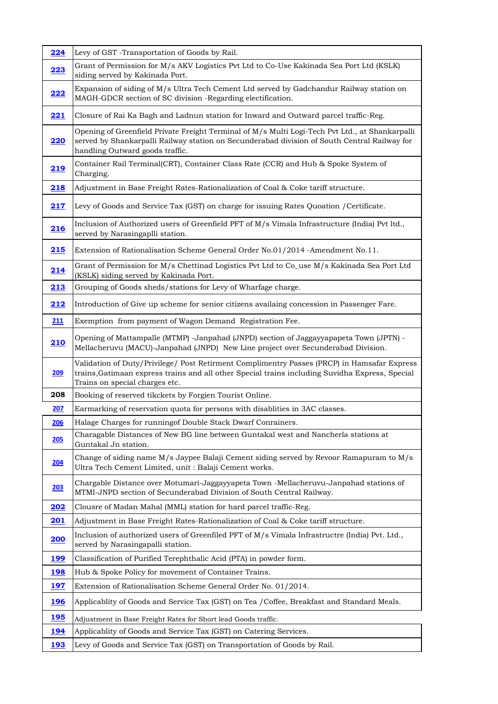| 224         | Levy of GST -Transportation of Goods by Rail.                                                                                                                                                                                      |
|-------------|------------------------------------------------------------------------------------------------------------------------------------------------------------------------------------------------------------------------------------|
| 223         | Grant of Permission for M/s AKV Logistics Pvt Ltd to Co-Use Kakinada Sea Port Ltd (KSLK)<br>siding served by Kakinada Port.                                                                                                        |
| 222         | Expansion of siding of M/s Ultra Tech Cement Ltd served by Gadchandur Railway station on<br>MAGH-GDCR section of SC division -Regarding electification.                                                                            |
| 221         | Closure of Rai Ka Bagh and Ladnun station for Inward and Outward parcel traffic-Reg.                                                                                                                                               |
| 220         | Opening of Greenfield Private Freight Terminal of M/s Multi Logi-Tech Pvt Ltd., at Shankarpalli<br>served by Shankarpalli Railway station on Secunderabad division of South Central Railway for<br>handling Outward goods traffic. |
| <u>219</u>  | Container Rail Terminal(CRT), Container Class Rate (CCR) and Hub & Spoke System of<br>Charging.                                                                                                                                    |
| 218         | Adjustment in Base Freight Rates-Rationalization of Coal & Coke tariff structure.                                                                                                                                                  |
| 217         | Levy of Goods and Service Tax (GST) on charge for issuing Rates Quoation / Certificate.                                                                                                                                            |
| 216         | Inclusion of Authorized users of Greenfield PFT of M/s Vimala Infrastructure (India) Pvt ltd.,<br>served by Narasingaplli station.                                                                                                 |
| 215         | Extension of Rationalisation Scheme General Order No.01/2014 -Amendment No.11.                                                                                                                                                     |
| 214         | Grant of Permission for M/s Chettinad Logistics Pvt Ltd to Co_use M/s Kakinada Sea Port Ltd<br>(KSLK) siding served by Kakinada Port.                                                                                              |
| 213         | Grouping of Goods sheds/stations for Levy of Wharfage charge.                                                                                                                                                                      |
| 212         | Introduction of Give up scheme for senior citizens availaing concession in Passenger Fare.                                                                                                                                         |
| 211         | Exemption from payment of Wagon Demand Registration Fee.                                                                                                                                                                           |
| <b>210</b>  | Opening of Mattampalle (MTMP) -Janpahad (JNPD) section of Jaggayyapapeta Town (JPTN) -<br>Mellacheruvu (MACU)-Janpahad (JNPD) New Line project over Secunderabad Division.                                                         |
| <b>209</b>  | Validation of Duty/Privilege/ Post Retirment Complimentry Passes (PRCP) in Hamsafar Express<br>trains, Gatimaan express trains and all other Special trains including Suvidha Express, Special<br>Trains on special charges etc.   |
| 208         | Booking of reserved tikckets by Forgien Tourist Online.                                                                                                                                                                            |
| 207         | Earmarking of reservation quota for persons with disablities in 3AC classes.                                                                                                                                                       |
| 206         | Halage Charges for runningof Double Stack Dwarf Conrainers.                                                                                                                                                                        |
| 205         | Charagable Distances of New BG line between Guntakal west and Nancherla stations at<br>Guntakal Jn station.                                                                                                                        |
| 204         | Change of siding name M/s Jaypee Balaji Cement siding served by Revoor Ramapuram to M/s<br>Ultra Tech Cement Limited, unit : Balaji Cement works.                                                                                  |
| 203         | Chargable Distance over Motumari-Jaggayyapeta Town -Mellacheruvu-Janpahad stations of<br>MTMI-JNPD section of Secunderabad Division of South Central Railway.                                                                      |
| 202         | Clousre of Madan Mahal (MML) station for hard parcel traffic-Reg.                                                                                                                                                                  |
| 201         | Adjustment in Base Freight Rates-Rationalization of Coal & Coke tariff structure.                                                                                                                                                  |
| 200         | Inclusion of authorized users of Greenfiled PFT of M/s Vimala Infrastructre (India) Pvt. Ltd.,<br>served by Narasingapalli station.                                                                                                |
| <u>199</u>  | Classification of Purified Terephthalic Acid (PTA) in powder form.                                                                                                                                                                 |
| <u> 198</u> | Hub & Spoke Policy for movement of Container Trains.                                                                                                                                                                               |
| 197         | Extension of Rationalisation Scheme General Order No. 01/2014.                                                                                                                                                                     |
| <u> 196</u> | Applicablity of Goods and Service Tax (GST) on Tea / Coffee, Breakfast and Standard Meals.                                                                                                                                         |
| <u>195</u>  | Adjustment in Base Freight Rates for Short lead Goods traffic.                                                                                                                                                                     |
| 194         | Applicablity of Goods and Service Tax (GST) on Catering Services.                                                                                                                                                                  |
| <u> 193</u> | Levy of Goods and Service Tax (GST) on Transportation of Goods by Rail.                                                                                                                                                            |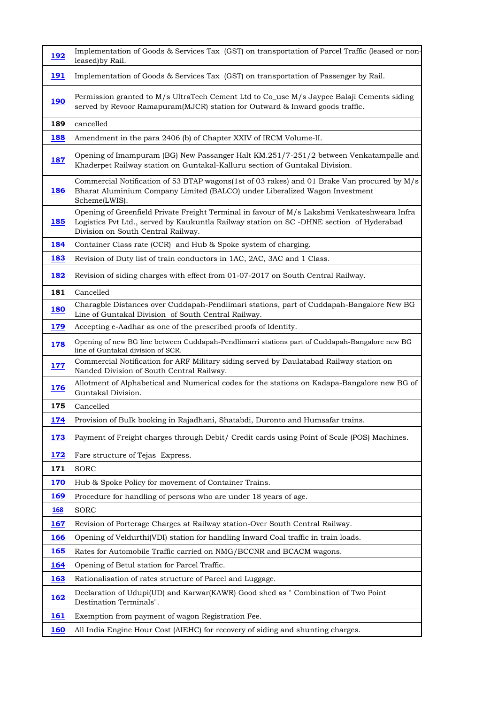| <u> 192</u> | Implementation of Goods & Services Tax (GST) on transportation of Parcel Traffic (leased or non-<br>leased) by Rail.                                                                                                           |
|-------------|--------------------------------------------------------------------------------------------------------------------------------------------------------------------------------------------------------------------------------|
| <u> 191</u> | Implementation of Goods & Services Tax (GST) on transportation of Passenger by Rail.                                                                                                                                           |
| <u>190</u>  | Permission granted to M/s UltraTech Cement Ltd to Co_use M/s Jaypee Balaji Cements siding<br>served by Revoor Ramapuram(MJCR) station for Outward & Inward goods traffic.                                                      |
| 189         | cancelled                                                                                                                                                                                                                      |
| 188         | Amendment in the para 2406 (b) of Chapter XXIV of IRCM Volume-II.                                                                                                                                                              |
| <u>187</u>  | Opening of Imampuram (BG) New Passanger Halt KM.251/7-251/2 between Venkatampalle and<br>Khaderpet Railway station on Guntakal-Kalluru section of Guntakal Division.                                                           |
| <u>186</u>  | Commercial Notification of 53 BTAP wagons(1st of 03 rakes) and 01 Brake Van procured by M/s<br>Bharat Aluminium Company Limited (BALCO) under Liberalized Wagon Investment<br>Scheme(LWIS).                                    |
| 185         | Opening of Greenfield Private Freight Terminal in favour of M/s Lakshmi Venkateshweara Infra<br>Logistics Pvt Ltd., served by Kaukuntla Railway station on SC -DHNE section of Hyderabad<br>Division on South Central Railway. |
| 184         | Container Class rate (CCR) and Hub & Spoke system of charging.                                                                                                                                                                 |
| <b>183</b>  | Revision of Duty list of train conductors in 1AC, 2AC, 3AC and 1 Class.                                                                                                                                                        |
| 182         | Revision of siding charges with effect from 01-07-2017 on South Central Railway.                                                                                                                                               |
| 181         | Cancelled                                                                                                                                                                                                                      |
| <b>180</b>  | Charagble Distances over Cuddapah-Pendlimari stations, part of Cuddapah-Bangalore New BG<br>Line of Guntakal Division of South Central Railway.                                                                                |
| 179         | Accepting e-Aadhar as one of the prescribed proofs of Identity.                                                                                                                                                                |
| 178         | Opening of new BG line between Cuddapah-Pendlimarri stations part of Cuddapah-Bangalore new BG<br>line of Guntakal division of SCR.                                                                                            |
| <b>177</b>  | Commercial Notification for ARF Military siding served by Daulatabad Railway station on<br>Nanded Division of South Central Railway.                                                                                           |
| 176         | Allotment of Alphabetical and Numerical codes for the stations on Kadapa-Bangalore new BG of<br>Guntakal Division.                                                                                                             |
| 175         | Cancelled                                                                                                                                                                                                                      |
| <u>174</u>  | Provision of Bulk booking in Rajadhani, Shatabdi, Duronto and Humsafar trains.                                                                                                                                                 |
| 173         | Payment of Freight charges through Debit/ Credit cards using Point of Scale (POS) Machines.                                                                                                                                    |
| <b>172</b>  | Fare structure of Tejas Express.                                                                                                                                                                                               |
| 171         | SORC                                                                                                                                                                                                                           |
| <b>170</b>  | Hub & Spoke Policy for movement of Container Trains.                                                                                                                                                                           |
| <u> 169</u> | Procedure for handling of persons who are under 18 years of age.                                                                                                                                                               |
| <b>168</b>  | SORC                                                                                                                                                                                                                           |
| <u> 167</u> | Revision of Porterage Charges at Railway station-Over South Central Railway.                                                                                                                                                   |
| <u>166</u>  | Opening of Veldurthi(VDI) station for handling Inward Coal traffic in train loads.                                                                                                                                             |
| 165         | Rates for Automobile Traffic carried on NMG/BCCNR and BCACM wagons.                                                                                                                                                            |
| <b>164</b>  | Opening of Betul station for Parcel Traffic.                                                                                                                                                                                   |
| 163         | Rationalisation of rates structure of Parcel and Luggage.                                                                                                                                                                      |
| <b>162</b>  | Declaration of Udupi(UD) and Karwar(KAWR) Good shed as " Combination of Two Point<br>Destination Terminals".                                                                                                                   |
| <u> 161</u> | Exemption from payment of wagon Registration Fee.                                                                                                                                                                              |
| <u>160</u>  | All India Engine Hour Cost (AIEHC) for recovery of siding and shunting charges.                                                                                                                                                |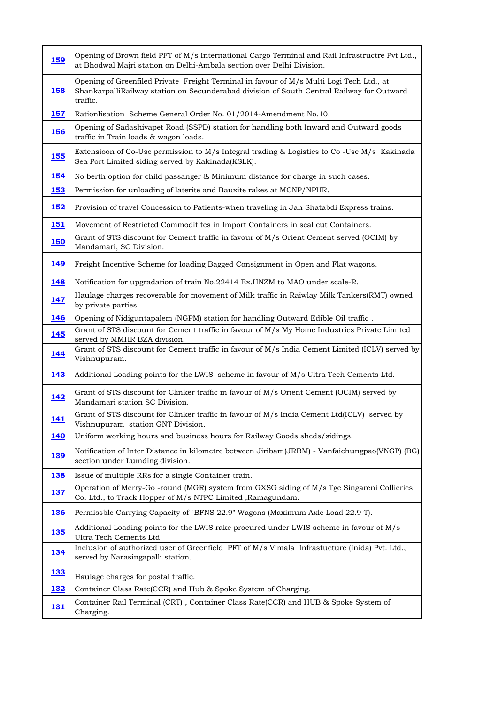| <u>159</u>  | Opening of Brown field PFT of M/s International Cargo Terminal and Rail Infrastructre Pvt Ltd.,<br>at Bhodwal Majri station on Delhi-Ambala section over Delhi Division.                          |
|-------------|---------------------------------------------------------------------------------------------------------------------------------------------------------------------------------------------------|
| 158         | Opening of Greenfiled Private Freight Terminal in favour of M/s Multi Logi Tech Ltd., at<br>ShankarpalliRailway station on Secunderabad division of South Central Railway for Outward<br>traffic. |
| 157         | Rationlisation Scheme General Order No. 01/2014-Amendment No.10.                                                                                                                                  |
| <u>156</u>  | Opening of Sadashivapet Road (SSPD) station for handling both Inward and Outward goods<br>traffic in Train loads & wagon loads.                                                                   |
| <u> 155</u> | Extensioon of Co-Use permission to M/s Integral trading & Logistics to Co-Use M/s Kakinada<br>Sea Port Limited siding served by Kakinada(KSLK).                                                   |
| 154         | No berth option for child passanger & Minimum distance for charge in such cases.                                                                                                                  |
| <b>153</b>  | Permission for unloading of laterite and Bauxite rakes at MCNP/NPHR.                                                                                                                              |
| 152         | Provision of travel Concession to Patients-when traveling in Jan Shatabdi Express trains.                                                                                                         |
| <b>151</b>  | Movement of Restricted Commoditites in Import Containers in seal cut Containers.                                                                                                                  |
| <b>150</b>  | Grant of STS discount for Cement traffic in favour of M/s Orient Cement served (OCIM) by<br>Mandamari, SC Division.                                                                               |
| 149         | Freight Incentive Scheme for loading Bagged Consignment in Open and Flat wagons.                                                                                                                  |
| 148         | Notification for upgradation of train No.22414 Ex.HNZM to MAO under scale-R.                                                                                                                      |
| <u>147</u>  | Haulage charges recoverable for movement of Milk traffic in Raiwlay Milk Tankers(RMT) owned<br>by private parties.                                                                                |
| 146         | Opening of Nidiguntapalem (NGPM) station for handling Outward Edible Oil traffic.                                                                                                                 |
| 145         | Grant of STS discount for Cement traffic in favour of M/s My Home Industries Private Limited<br>served by MMHR BZA division.                                                                      |
| 144         | Grant of STS discount for Cement traffic in favour of M/s India Cement Limited (ICLV) served by<br>Vishnupuram.                                                                                   |
| <u>143</u>  | Additional Loading points for the LWIS scheme in favour of M/s Ultra Tech Cements Ltd.                                                                                                            |
| 142         | Grant of STS discount for Clinker traffic in favour of M/s Orient Cement (OCIM) served by<br>Mandamari station SC Division.                                                                       |
| 141         | Grant of STS discount for Clinker traffic in favour of M/s India Cement Ltd(ICLV) served by<br>Vishnupuram station GNT Division.                                                                  |
| 140         | Uniform working hours and business hours for Railway Goods sheds/sidings.                                                                                                                         |
| 139         | Notification of Inter Distance in kilometre between Jiribam(JRBM) - Vanfaichungpao(VNGP) (BG)<br>section under Lumding division.                                                                  |
| 138         | Issue of multiple RRs for a single Container train.                                                                                                                                               |
| 137         | Operation of Merry-Go-round (MGR) system from GXSG siding of M/s Tge Singareni Collieries<br>Co. Ltd., to Track Hopper of M/s NTPC Limited , Ramagundam.                                          |
| 136         | Permissble Carrying Capacity of "BFNS 22.9" Wagons (Maximum Axle Load 22.9 T).                                                                                                                    |
| <b>135</b>  | Additional Loading points for the LWIS rake procured under LWIS scheme in favour of M/s<br>Ultra Tech Cements Ltd.                                                                                |
| 134         | Inclusion of authorized user of Greenfield PFT of M/s Vimala Infrastucture (Inida) Pvt. Ltd.,<br>served by Narasingapalli station.                                                                |
| <b>133</b>  | Haulage charges for postal traffic.                                                                                                                                                               |
| 132         | Container Class Rate(CCR) and Hub & Spoke System of Charging.                                                                                                                                     |
| <u>131</u>  | Container Rail Terminal (CRT), Container Class Rate(CCR) and HUB & Spoke System of<br>Charging.                                                                                                   |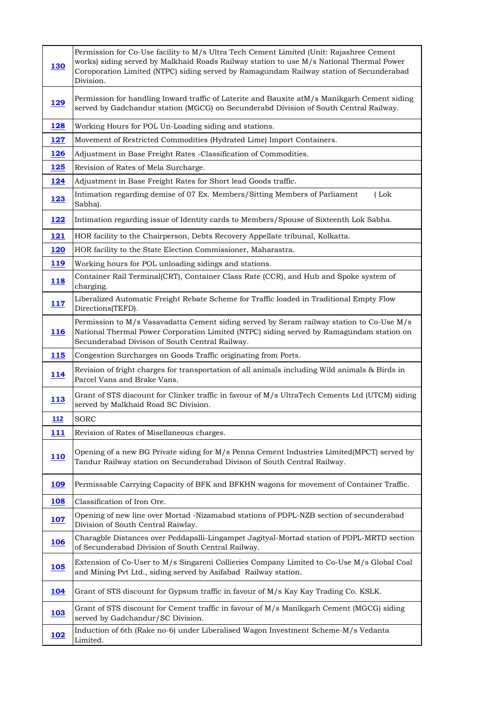| 130         | Permission for Co-Use facility to M/s Ultra Tech Cement Limited (Unit: Rajashree Cement<br>works) siding served by Malkhaid Roads Railway station to use M/s National Thermal Power<br>Coroporation Limited (NTPC) siding served by Ramagundam Railway station of Secunderabad<br>Division. |
|-------------|---------------------------------------------------------------------------------------------------------------------------------------------------------------------------------------------------------------------------------------------------------------------------------------------|
| 129         | Permission for handling Inward traffic of Laterite and Bauxite atM/s Manikgarh Cement siding<br>served by Gadchandur station (MGCG) on Secunderabd Division of South Central Railway.                                                                                                       |
| <u>128</u>  | Working Hours for POL Un-Loading siding and stations.                                                                                                                                                                                                                                       |
| 127         | Movement of Restricted Commodities (Hydrated Lime) Import Containers.                                                                                                                                                                                                                       |
| 126         | Adjustment in Base Freight Rates -Classification of Commodities.                                                                                                                                                                                                                            |
| 125         | Revision of Rates of Mela Surcharge.                                                                                                                                                                                                                                                        |
| 124         | Adjustment in Base Freight Rates for Short lead Goods traffic.                                                                                                                                                                                                                              |
| <b>123</b>  | Intimation regarding demise of 07 Ex. Members/Sitting Members of Parliament<br>(Lok<br>Sabha).                                                                                                                                                                                              |
| <u>122</u>  | Intimation regarding issue of Identity cards to Members/Spouse of Sixteenth Lok Sabha.                                                                                                                                                                                                      |
| 121         | HOR facility to the Chairperson, Debts Recovery Appellate tribunal, Kolkatta.                                                                                                                                                                                                               |
| 120         | HOR facility to the State Election Commissioner, Maharastra.                                                                                                                                                                                                                                |
| <b>119</b>  | Working hours for POL unloading sidings and stations.                                                                                                                                                                                                                                       |
| <u> 118</u> | Container Rail Terminal(CRT), Container Class Rate (CCR), and Hub and Spoke system of<br>charging.                                                                                                                                                                                          |
| 117         | Liberalized Automatic Freight Rebate Scheme for Traffic loaded in Traditional Empty Flow<br>Directions(TEFD).                                                                                                                                                                               |
| <u> 116</u> | Permission to M/s Vasavadatta Cement siding served by Seram railway station to Co-Use M/s<br>National Thermal Power Corporation Limited (NTPC) siding served by Ramagundam station on<br>Secunderabad Divison of South Central Railway.                                                     |
| <b>115</b>  | Congestion Surcharges on Goods Traffic originating from Ports.                                                                                                                                                                                                                              |
| <b>114</b>  | Revision of fright charges for transportation of all animals including Wild animals & Birds in<br>Parcel Vans and Brake Vans.                                                                                                                                                               |
| 113         | Grant of STS discount for Clinker traffic in favour of M/s UltraTech Cements Ltd (UTCM) siding<br>served by Malkhaid Road SC Division.                                                                                                                                                      |
| 112         | <b>SORC</b>                                                                                                                                                                                                                                                                                 |
| 111         | Revision of Rates of Misellaneous charges.                                                                                                                                                                                                                                                  |
| <u> 110</u> | Opening of a new BG Private siding for M/s Penna Cement Industries Limited(MPCT) served by<br>Tandur Railway station on Secunderabad Divison of South Central Railway.                                                                                                                      |
| <u> 109</u> | Permissable Carrying Capacity of BFK and BFKHN wagons for movement of Container Traffic.                                                                                                                                                                                                    |
| <u>108</u>  | Classification of Iron Ore.                                                                                                                                                                                                                                                                 |
| <u>107</u>  | Opening of new line over Mortad -Nizamabad stations of PDPL-NZB section of secunderabad<br>Division of South Central Raiwlay.                                                                                                                                                               |
| <u>106</u>  | Charagble Distances over Peddapalli-Lingampet Jagityal-Mortad station of PDPL-MRTD section<br>of Secunderabad Division of South Central Railway.                                                                                                                                            |
| <u>105</u>  | Extension of Co-User to M/s Singareni Collieries Company Limited to Co-Use M/s Global Coal<br>and Mining Pvt Ltd., siding served by Asifabad Railway station.                                                                                                                               |
| <u>104</u>  | Grant of STS discount for Gypsum traffic in favour of M/s Kay Kay Trading Co. KSLK.                                                                                                                                                                                                         |
| <u> 103</u> | Grant of STS discount for Cement traffic in favour of M/s Manikgarh Cement (MGCG) siding<br>served by Gadchandur/SC Division.                                                                                                                                                               |
| <u> 102</u> | Induction of 6th (Rake no-6) under Liberalised Wagon Investment Scheme-M/s Vedanta<br>Limited.                                                                                                                                                                                              |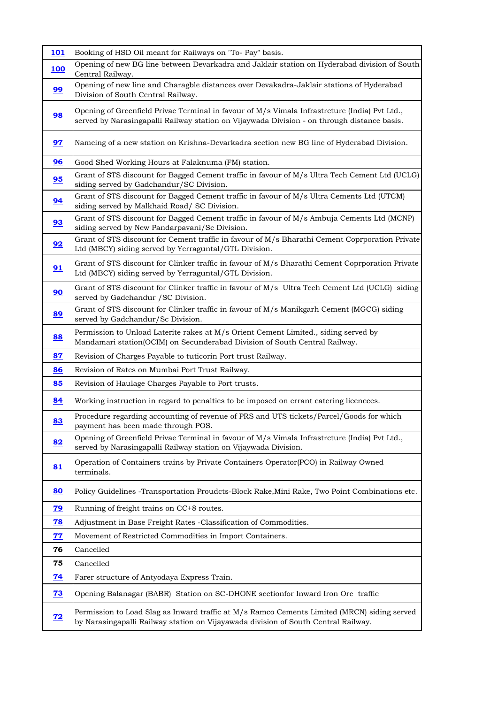| <b>101</b>      | Booking of HSD Oil meant for Railways on "To- Pay" basis.                                                                                                                                    |
|-----------------|----------------------------------------------------------------------------------------------------------------------------------------------------------------------------------------------|
| <b>100</b>      | Opening of new BG line between Devarkadra and Jaklair station on Hyderabad division of South<br>Central Railway.                                                                             |
| 99              | Opening of new line and Charagble distances over Devakadra-Jaklair stations of Hyderabad<br>Division of South Central Railway.                                                               |
| 98              | Opening of Greenfield Privae Terminal in favour of M/s Vimala Infrastrcture (India) Pvt Ltd.,<br>served by Narasingapalli Railway station on Vijaywada Division - on through distance basis. |
| 97              | Nameing of a new station on Krishna-Devarkadra section new BG line of Hyderabad Division.                                                                                                    |
| 96              | Good Shed Working Hours at Falaknuma (FM) station.                                                                                                                                           |
| 95              | Grant of STS discount for Bagged Cement traffic in favour of M/s Ultra Tech Cement Ltd (UCLG)<br>siding served by Gadchandur/SC Division.                                                    |
| 94              | Grant of STS discount for Bagged Cement traffic in favour of M/s Ultra Cements Ltd (UTCM)<br>siding served by Malkhaid Road/ SC Division.                                                    |
| 93              | Grant of STS discount for Bagged Cement traffic in favour of M/s Ambuja Cements Ltd (MCNP)<br>siding served by New Pandarpavani/Sc Division.                                                 |
| 92              | Grant of STS discount for Cement traffic in favour of M/s Bharathi Cement Coprporation Private<br>Ltd (MBCY) siding served by Yerraguntal/GTL Division.                                      |
| 91              | Grant of STS discount for Clinker traffic in favour of M/s Bharathi Cement Coprporation Private<br>Ltd (MBCY) siding served by Yerraguntal/GTL Division.                                     |
| 90              | Grant of STS discount for Clinker traffic in favour of M/s Ultra Tech Cement Ltd (UCLG) siding<br>served by Gadchandur / SC Division.                                                        |
| <u>89</u>       | Grant of STS discount for Clinker traffic in favour of M/s Manikgarh Cement (MGCG) siding<br>served by Gadchandur/Sc Division.                                                               |
| <u>88</u>       | Permission to Unload Laterite rakes at M/s Orient Cement Limited., siding served by<br>Mandamari station(OCIM) on Secunderabad Division of South Central Railway.                            |
| 87              | Revision of Charges Payable to tuticorin Port trust Railway.                                                                                                                                 |
| 86              | Revision of Rates on Mumbai Port Trust Railway.                                                                                                                                              |
| 85              | Revision of Haulage Charges Payable to Port trusts.                                                                                                                                          |
| 84              | Working instruction in regard to penalties to be imposed on errant catering licencees.                                                                                                       |
| 83              | Procedure regarding accounting of revenue of PRS and UTS tickets/Parcel/Goods for which<br>payment has been made through POS.                                                                |
| 82              | Opening of Greenfield Privae Terminal in favour of M/s Vimala Infrastrcture (India) Pvt Ltd.,<br>served by Narasingapalli Railway station on Vijaywada Division.                             |
| 81              | Operation of Containers trains by Private Containers Operator(PCO) in Railway Owned<br>terminals.                                                                                            |
| 80              | Policy Guidelines -Transportation Proudcts-Block Rake, Mini Rake, Two Point Combinations etc.                                                                                                |
| <u>79</u>       | Running of freight trains on CC+8 routes.                                                                                                                                                    |
| 78              | Adjustment in Base Freight Rates -Classification of Commodities.                                                                                                                             |
| 77              | Movement of Restricted Commodities in Import Containers.                                                                                                                                     |
| 76              | Cancelled                                                                                                                                                                                    |
| 75              | Cancelled                                                                                                                                                                                    |
| $\overline{74}$ | Farer structure of Antyodaya Express Train.                                                                                                                                                  |
| <u>73</u>       | Opening Balanagar (BABR) Station on SC-DHONE section for Inward Iron Ore traffic                                                                                                             |
| <u>72</u>       | Permission to Load Slag as Inward traffic at M/s Ramco Cements Limited (MRCN) siding served<br>by Narasingapalli Railway station on Vijayawada division of South Central Railway.            |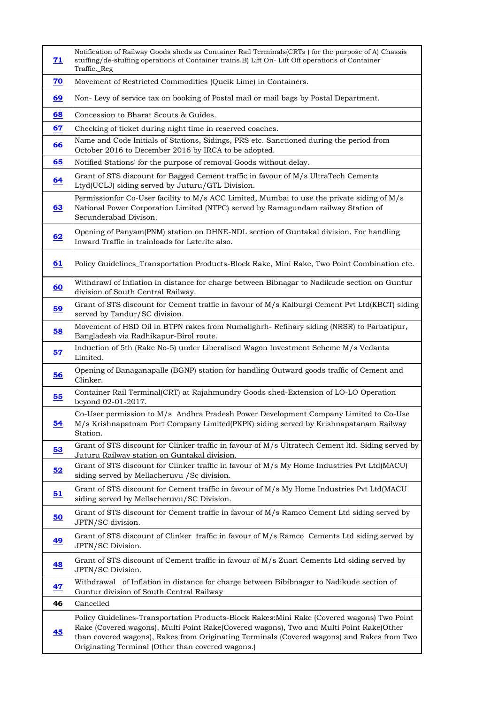| <u>71</u> | Notification of Railway Goods sheds as Container Rail Terminals(CRTs) for the purpose of A) Chassis<br>stuffing/de-stuffing operations of Container trains.B) Lift On- Lift Off operations of Container<br>Traffic._Reg                                                                                                                   |
|-----------|-------------------------------------------------------------------------------------------------------------------------------------------------------------------------------------------------------------------------------------------------------------------------------------------------------------------------------------------|
| 70        | Movement of Restricted Commodities (Qucik Lime) in Containers.                                                                                                                                                                                                                                                                            |
| <u>69</u> | Non- Levy of service tax on booking of Postal mail or mail bags by Postal Department.                                                                                                                                                                                                                                                     |
| 68        | Concession to Bharat Scouts & Guides.                                                                                                                                                                                                                                                                                                     |
| 67        | Checking of ticket during night time in reserved coaches.                                                                                                                                                                                                                                                                                 |
| <u>66</u> | Name and Code Initials of Stations, Sidings, PRS etc. Sanctioned during the period from<br>October 2016 to December 2016 by IRCA to be adopted.                                                                                                                                                                                           |
| 65        | Notified Stations' for the purpose of removal Goods without delay.                                                                                                                                                                                                                                                                        |
| 64        | Grant of STS discount for Bagged Cement traffic in favour of M/s UltraTech Cements<br>Ltyd(UCLJ) siding served by Juturu/GTL Division.                                                                                                                                                                                                    |
| <u>63</u> | Permissionfor Co-User facility to M/s ACC Limited, Mumbai to use the private siding of M/s<br>National Power Corporation Limited (NTPC) served by Ramagundam railway Station of<br>Secunderabad Divison.                                                                                                                                  |
| 62        | Opening of Panyam(PNM) station on DHNE-NDL section of Guntakal division. For handling<br>Inward Traffic in trainloads for Laterite also.                                                                                                                                                                                                  |
| 61        | Policy Guidelines_Transportation Products-Block Rake, Mini Rake, Two Point Combination etc.                                                                                                                                                                                                                                               |
| <u>60</u> | Withdrawl of Inflation in distance for charge between Bibnagar to Nadikude section on Guntur<br>division of South Central Railway.                                                                                                                                                                                                        |
| 59        | Grant of STS discount for Cement traffic in favour of M/s Kalburgi Cement Pvt Ltd(KBCT) siding<br>served by Tandur/SC division.                                                                                                                                                                                                           |
| 58        | Movement of HSD Oil in BTPN rakes from Numalighrh-Refinary siding (NRSR) to Parbatipur,<br>Bangladesh via Radhikapur-Birol route.                                                                                                                                                                                                         |
| 57        | Induction of 5th (Rake No-5) under Liberalised Wagon Investment Scheme M/s Vedanta<br>Limited.                                                                                                                                                                                                                                            |
| 56        | Opening of Banaganapalle (BGNP) station for handling Outward goods traffic of Cement and<br>Clinker.                                                                                                                                                                                                                                      |
| 55        | Container Rail Terminal(CRT) at Rajahmundry Goods shed-Extension of LO-LO Operation<br>beyond 02-01-2017.                                                                                                                                                                                                                                 |
| 54        | Co-User permission to M/s Andhra Pradesh Power Development Company Limited to Co-Use<br>M/s Krishnapatnam Port Company Limited(PKPK) siding served by Krishnapatanam Railway<br>Station.                                                                                                                                                  |
| 53        | Grant of STS discount for Clinker traffic in favour of M/s Ultratech Cement ltd. Siding served by<br>Juturu Railway station on Guntakal division.                                                                                                                                                                                         |
| 52        | Grant of STS discount for Clinker traffic in favour of M/s My Home Industries Pvt Ltd(MACU)<br>siding served by Mellacheruvu / Sc division.                                                                                                                                                                                               |
| 51        | Grant of STS discount for Cement traffic in favour of M/s My Home Industries Pvt Ltd(MACU<br>siding served by Mellacheruvu/SC Division.                                                                                                                                                                                                   |
| 50        | Grant of STS discount for Cement traffic in favour of M/s Ramco Cement Ltd siding served by<br>JPTN/SC division.                                                                                                                                                                                                                          |
| 49        | Grant of STS discount of Clinker traffic in favour of M/s Ramco Cements Ltd siding served by<br>JPTN/SC Division.                                                                                                                                                                                                                         |
| 48        | Grant of STS discount of Cement traffic in favour of M/s Zuari Cements Ltd siding served by<br>JPTN/SC Division.                                                                                                                                                                                                                          |
| 47        | Withdrawal of Inflation in distance for charge between Bibibnagar to Nadikude section of<br>Guntur division of South Central Railway                                                                                                                                                                                                      |
| 46        | Cancelled                                                                                                                                                                                                                                                                                                                                 |
| 45        | Policy Guidelines-Transportation Products-Block Rakes: Mini Rake (Covered wagons) Two Point<br>Rake (Covered wagons), Multi Point Rake(Covered wagons), Two and Multi Point Rake(Other<br>than covered wagons), Rakes from Originating Terminals (Covered wagons) and Rakes from Two<br>Originating Terminal (Other than covered wagons.) |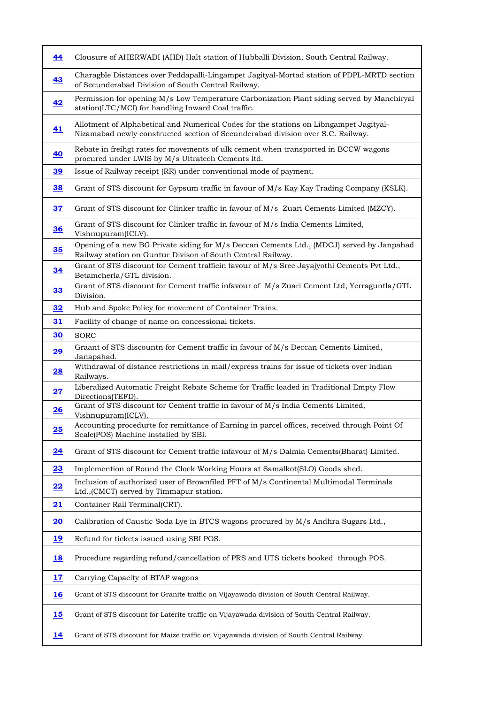| 44              | Clousure of AHERWADI (AHD) Halt station of Hubballi Division, South Central Railway.                                                                                      |
|-----------------|---------------------------------------------------------------------------------------------------------------------------------------------------------------------------|
| 43              | Charagble Distances over Peddapalli-Lingampet Jagityal-Mortad station of PDPL-MRTD section<br>of Secunderabad Division of South Central Railway.                          |
| 42              | Permission for opening M/s Low Temperature Carbonization Plant siding served by Manchiryal<br>station(LTC/MCI) for handling Inward Coal traffic.                          |
| 41              | Allotment of Alphabetical and Numerical Codes for the stations on Libngampet Jagityal-<br>Nizamabad newly constructed section of Secunderabad division over S.C. Railway. |
| 40              | Rebate in freihgt rates for movements of ulk cement when transported in BCCW wagons<br>procured under LWIS by M/s Ultratech Cements ltd.                                  |
| <u>39</u>       | Issue of Railway receipt (RR) under conventional mode of payment.                                                                                                         |
| 38              | Grant of STS discount for Gypsum traffic in favour of M/s Kay Kay Trading Company (KSLK).                                                                                 |
| 37              | Grant of STS discount for Clinker traffic in favour of M/s Zuari Cements Limited (MZCY).                                                                                  |
| $\overline{36}$ | Grant of STS discount for Clinker traffic in favour of M/s India Cements Limited,<br>Vishnupuram(ICLV).                                                                   |
| 35              | Opening of a new BG Private siding for M/s Deccan Cements Ltd., (MDCJ) served by Janpahad<br>Railway station on Guntur Divison of South Central Railway.                  |
| 34              | Grant of STS discount for Cement trafficin favour of M/s Sree Jayajyothi Cements Pvt Ltd.,<br>Betamcherla/GTL division.                                                   |
| 33              | Grant of STS discount for Cement traffic infavour of M/s Zuari Cement Ltd, Yerraguntla/GTL<br>Division.                                                                   |
| 32              | Hub and Spoke Policy for movement of Container Trains.                                                                                                                    |
| 31              | Facility of change of name on concessional tickets.                                                                                                                       |
| 30              | SORC                                                                                                                                                                      |
| 29              | Graant of STS discountn for Cement traffic in favour of M/s Deccan Cements Limited,                                                                                       |
| 28              | <u>Janapahad.</u><br>Withdrawal of distance restrictions in mail/express trains for issue of tickets over Indian<br>Railways.                                             |
| 27              | Liberalized Automatic Freight Rebate Scheme for Traffic loaded in Traditional Empty Flow<br>Directions(TEFD).                                                             |
| 26              | Grant of STS discount for Cement traffic in favour of M/s India Cements Limited,<br>Vishnupuram(ICLV).                                                                    |
| 25              | Accounting procedurte for remittance of Earning in parcel offices, received through Point Of<br>Scale(POS) Machine installed by SBI.                                      |
| 24              | Grant of STS discount for Cement traffic infavour of M/s Dalmia Cements(Bharat) Limited.                                                                                  |
| 23              | Implemention of Round the Clock Working Hours at Samalkot(SLO) Goods shed.                                                                                                |
| <u>22</u>       | Inclusion of authorized user of Brownfiled PFT of M/s Continental Multimodal Terminals<br>Ltd., (CMCT) served by Timmapur station.                                        |
| 21              | Container Rail Terminal(CRT).                                                                                                                                             |
| 20              | Calibration of Caustic Soda Lye in BTCS wagons procured by M/s Andhra Sugars Ltd.,                                                                                        |
| 19              | Refund for tickets issued using SBI POS.                                                                                                                                  |
| <u>18</u>       | Procedure regarding refund/cancellation of PRS and UTS tickets booked through POS.                                                                                        |
| 17              | Carrying Capacity of BTAP wagons                                                                                                                                          |
| <b>16</b>       | Grant of STS discount for Granite traffic on Vijayawada division of South Central Railway.                                                                                |
| <u>15</u>       | Grant of STS discount for Laterite traffic on Vijayawada division of South Central Railway.                                                                               |
| <u>14</u>       | Grant of STS discount for Maize traffic on Vijayawada division of South Central Railway.                                                                                  |